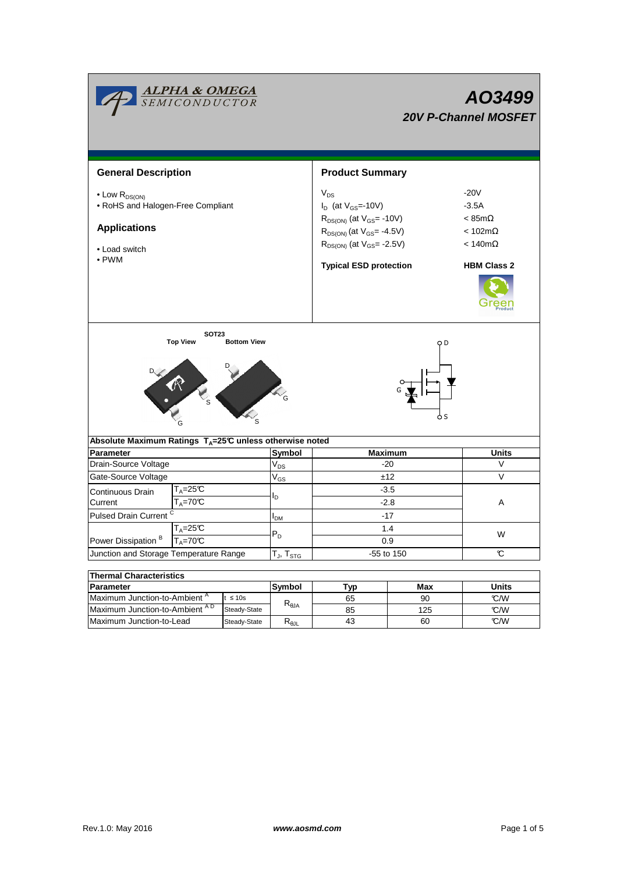|                                                                                                                          | <i>ALPHA &amp; OMEGA</i><br><i>SEMICONDUCTOR</i>                     |                    |                                  | AO3499<br><b>20V P-Channel MOSFET</b>                                                                                                                  |        |                                                                                                |  |  |
|--------------------------------------------------------------------------------------------------------------------------|----------------------------------------------------------------------|--------------------|----------------------------------|--------------------------------------------------------------------------------------------------------------------------------------------------------|--------|------------------------------------------------------------------------------------------------|--|--|
| <b>General Description</b>                                                                                               |                                                                      |                    |                                  | <b>Product Summary</b>                                                                                                                                 |        |                                                                                                |  |  |
| $\bullet$ Low $R_{DS(ON)}$<br>• RoHS and Halogen-Free Compliant<br><b>Applications</b><br>• Load switch<br>$\bullet$ PWM |                                                                      |                    |                                  | $V_{DS}$<br>$I_D$ (at $V_{GS}$ =-10V)<br>$R_{DS(ON)}$ (at $V_{GS}$ = -10V)<br>$R_{DS(ON)}$ (at $V_{GS}$ = -4.5V)<br>$R_{DS(ON)}$ (at $V_{GS}$ = -2.5V) |        | $-20V$<br>$-3.5A$<br>$< 85 \text{m}\Omega$<br>$< 102 \text{m}\Omega$<br>$< 140 \text{m}\Omega$ |  |  |
|                                                                                                                          |                                                                      |                    |                                  | <b>Typical ESD protection</b>                                                                                                                          |        | <b>HBM Class 2</b>                                                                             |  |  |
|                                                                                                                          | <b>SOT23</b><br><b>Top View</b><br>R R & R &                         | <b>Bottom View</b> |                                  |                                                                                                                                                        | O D    |                                                                                                |  |  |
| Absolute Maximum Ratings $T_A=25^\circ \text{C}$ unless otherwise noted<br><b>Parameter</b>                              |                                                                      |                    | Symbol                           | <b>Maximum</b>                                                                                                                                         |        | <b>Units</b>                                                                                   |  |  |
| Drain-Source Voltage                                                                                                     |                                                                      | $V_{DS}$           | $-20$                            |                                                                                                                                                        | V      |                                                                                                |  |  |
| Gate-Source Voltage                                                                                                      |                                                                      | $V_{GS}$           | ±12                              |                                                                                                                                                        | $\vee$ |                                                                                                |  |  |
| Continuous Drain<br>Current                                                                                              | $\mathsf{T}_\mathsf{A}\!\!=\!\!25\mathfrak{C}$<br>$T_A = 70^\circ C$ |                    |                                  | $-3.5$<br>$-2.8$                                                                                                                                       |        | Α                                                                                              |  |  |
| Pulsed Drain Current <sup>C</sup>                                                                                        |                                                                      | $I_{DM}$           | $-17$                            |                                                                                                                                                        |        |                                                                                                |  |  |
| $T_A = 25C$<br>Power Dissipation <sup>B</sup><br>$T_A = 70^\circ C$                                                      |                                                                      | $P_D$              | 1.4<br>0.9                       |                                                                                                                                                        | W      |                                                                                                |  |  |
| Junction and Storage Temperature Range                                                                                   |                                                                      |                    | $T_J$ , $T_{STG}$                | -55 to 150                                                                                                                                             |        | C                                                                                              |  |  |
|                                                                                                                          |                                                                      |                    |                                  |                                                                                                                                                        |        |                                                                                                |  |  |
| <b>Thermal Characteristics</b>                                                                                           |                                                                      |                    |                                  |                                                                                                                                                        |        |                                                                                                |  |  |
| <b>Parameter</b>                                                                                                         |                                                                      |                    | Symbol                           | Typ                                                                                                                                                    | Max    | <b>Units</b>                                                                                   |  |  |
|                                                                                                                          | Maximum Junction-to-Ambient <sup>A</sup><br>$t \leq 10s$             |                    | $\mathsf{R}_{\theta\mathsf{JA}}$ | 65                                                                                                                                                     | 90     | °C/W                                                                                           |  |  |
| Maximum Junction-to-Ambient AD<br>Steady-State                                                                           |                                                                      |                    | 85                               | 125                                                                                                                                                    | °C/W   |                                                                                                |  |  |

Maximum Junction-to-Lead

43

60

Steady-State R<sub>θJL</sub>

 $\overline{\mathcal{C}}$ /W

 $\overline{\phantom{0}}$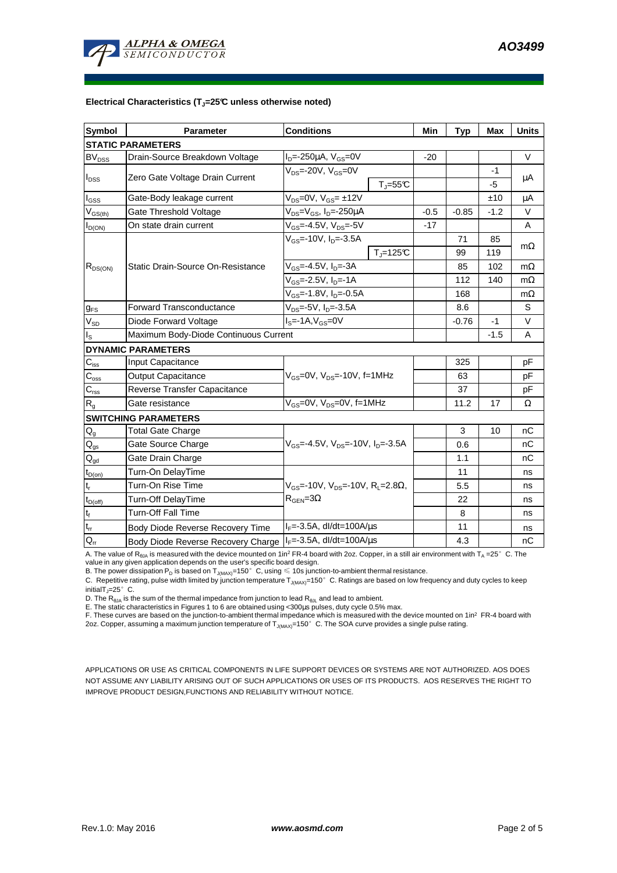

#### **Electrical Characteristics (TJ=25°C unless otherwise noted)**

| <b>Symbol</b>                           | <b>Parameter</b>                                                                    | <b>Conditions</b>                                       | Min    | <b>Typ</b> | <b>Max</b> | <b>Units</b> |  |  |  |  |  |
|-----------------------------------------|-------------------------------------------------------------------------------------|---------------------------------------------------------|--------|------------|------------|--------------|--|--|--|--|--|
| <b>STATIC PARAMETERS</b>                |                                                                                     |                                                         |        |            |            |              |  |  |  |  |  |
| <b>BV<sub>DSS</sub></b>                 | Drain-Source Breakdown Voltage                                                      | $I_D = -250 \mu A$ , $V_{GS} = 0V$                      | $-20$  |            |            | $\vee$       |  |  |  |  |  |
| $I_{DSS}$                               | Zero Gate Voltage Drain Current                                                     | $V_{DS}$ =-20V, $V_{GS}$ =0V<br>$T_{\parallel} = 55$ °C |        |            | $-1$<br>-5 | $\mu$ A      |  |  |  |  |  |
| $I_{GSS}$                               | Gate-Body leakage current                                                           | $V_{DS} = 0V$ , $V_{GS} = \pm 12V$                      |        |            | ±10        | μA           |  |  |  |  |  |
| $\mathsf{V}_{\mathsf{GS}(\mathsf{th})}$ | Gate Threshold Voltage                                                              | $V_{DS}$ = $V_{GS}$ , I <sub>D</sub> =-250µA            | $-0.5$ | $-0.85$    | $-1.2$     | V            |  |  |  |  |  |
| $I_{D(ON)}$                             | On state drain current                                                              | $V_{GS}$ =-4.5V, $V_{DS}$ =-5V                          |        |            |            | A            |  |  |  |  |  |
| $R_{DS(ON)}$                            |                                                                                     | $V_{GS}$ =-10V, $I_{D}$ =-3.5A                          |        | 71         | 85         |              |  |  |  |  |  |
|                                         |                                                                                     | $T_i = 125C$                                            |        | 99         | 119        | $m\Omega$    |  |  |  |  |  |
|                                         | Static Drain-Source On-Resistance                                                   | $V_{GS} = -4.5V, I_D = -3A$                             |        | 85         | 102        | $m\Omega$    |  |  |  |  |  |
|                                         |                                                                                     | $V_{GS}$ =-2.5V, I <sub>D</sub> =-1A                    |        | 112        | 140        | $m\Omega$    |  |  |  |  |  |
|                                         |                                                                                     | $V_{GS}$ =-1.8V, $I_{D}$ =-0.5A                         |        | 168        |            | $m\Omega$    |  |  |  |  |  |
| $g_{FS}$                                | <b>Forward Transconductance</b>                                                     | $V_{DS}$ =-5V, $I_D$ =-3.5A                             |        | 8.6        |            | S            |  |  |  |  |  |
| $V_{SD}$                                | Diode Forward Voltage<br>$IS=-1A, VGS=0V$                                           |                                                         |        | $-0.76$    | -1         | V            |  |  |  |  |  |
| $I_{\rm S}$                             | Maximum Body-Diode Continuous Current                                               |                                                         |        | $-1.5$     | A          |              |  |  |  |  |  |
|                                         | <b>DYNAMIC PARAMETERS</b>                                                           |                                                         |        |            |            |              |  |  |  |  |  |
| $C_{\text{iss}}$                        | <b>Input Capacitance</b>                                                            |                                                         |        | 325        |            | pF           |  |  |  |  |  |
| $\overline{C}_{\underline{\rm oss}}$    | <b>Output Capacitance</b>                                                           | $V_{GS}$ =0V, $V_{DS}$ =-10V, f=1MHz                    |        | 63         |            | pF           |  |  |  |  |  |
| $C_{\text{rss}}$                        | Reverse Transfer Capacitance                                                        |                                                         |        | 37         |            | pF           |  |  |  |  |  |
| $R_{q}$                                 | Gate resistance                                                                     | $V_{GS}$ =0V, $V_{DS}$ =0V, f=1MHz                      |        | 11.2       | 17         | Ω            |  |  |  |  |  |
|                                         | <b>SWITCHING PARAMETERS</b>                                                         |                                                         |        |            |            |              |  |  |  |  |  |
| $Q_g$                                   | <b>Total Gate Charge</b>                                                            |                                                         |        | 3          | 10         | nC           |  |  |  |  |  |
| $\mathsf{Q}_{\text{gs}}$                | Gate Source Charge                                                                  | $V_{GS}$ =-4.5V, $V_{DS}$ =-10V, $I_{D}$ =-3.5A         |        | 0.6        |            | nC           |  |  |  |  |  |
| $\mathsf{Q}_{\text{gd}}$                | Gate Drain Charge                                                                   |                                                         |        | 1.1        |            | nC           |  |  |  |  |  |
| $t_{D(on)}$                             | Turn-On DelayTime                                                                   |                                                         |        | 11         |            | ns           |  |  |  |  |  |
| $t_r$                                   | Turn-On Rise Time<br>$V_{GS}$ =-10V, $V_{DS}$ =-10V, R <sub>L</sub> =2.8 $\Omega$ , |                                                         |        | 5.5        |            | ns           |  |  |  |  |  |
| $t_{D(off)}$                            | Turn-Off DelayTime                                                                  | $R_{\text{GFN}} = 3\Omega$                              |        | 22         |            | ns           |  |  |  |  |  |
| $\mathbf{t}_\text{f}$                   | <b>Turn-Off Fall Time</b>                                                           |                                                         |        | 8          |            | ns           |  |  |  |  |  |
| $t_{rr}$                                | Body Diode Reverse Recovery Time                                                    | $I_F = -3.5A$ , dl/dt=100A/ $\mu$ s                     |        | 11         |            | ns           |  |  |  |  |  |
| $Q_{rr}$                                | Body Diode Reverse Recovery Charge   IF=-3.5A, dl/dt=100A/us                        |                                                         |        | 4.3        |            | nC           |  |  |  |  |  |

A. The value of  $R_{\theta_0A}$  is measured with the device mounted on 1in<sup>2</sup> FR-4 board with 2oz. Copper, in a still air environment with T<sub>A</sub> =25°C. The

value in any given application depends on the user's specific board design.<br>B. The power dissipation P<sub>D</sub> is based on T<sub>J(MAX)</sub>=150°C, using ≤ 10s junction-to-ambient thermal resistance.

C. Repetitive rating, pulse width limited by junction temperature  $T_{J(MAX)}$ =150°C. Ratings are based on low frequency and duty cycles to keep initialT<sub>J</sub>=25 $^{\circ}$  C.

D. The  $R_{\theta JA}$  is the sum of the thermal impedance from junction to lead  $R_{\theta JL}$  and lead to ambient.

E. The static characteristics in Figures 1 to 6 are obtained using <300µs pulses, duty cycle 0.5% max.

F. These curves are based on the junction-to-ambient thermal impedance which is measured with the device mounted on 1in<sup>2</sup> FR-4 board with 2oz. Copper, assuming a maximum junction temperature of  $T_{J(MAX)}$ =150°C. The SOA curve provides a single pulse rating.

APPLICATIONS OR USE AS CRITICAL COMPONENTS IN LIFE SUPPORT DEVICES OR SYSTEMS ARE NOT AUTHORIZED. AOS DOES NOT ASSUME ANY LIABILITY ARISING OUT OF SUCH APPLICATIONS OR USES OF ITS PRODUCTS. AOS RESERVES THE RIGHT TO IMPROVE PRODUCT DESIGN,FUNCTIONS AND RELIABILITY WITHOUT NOTICE.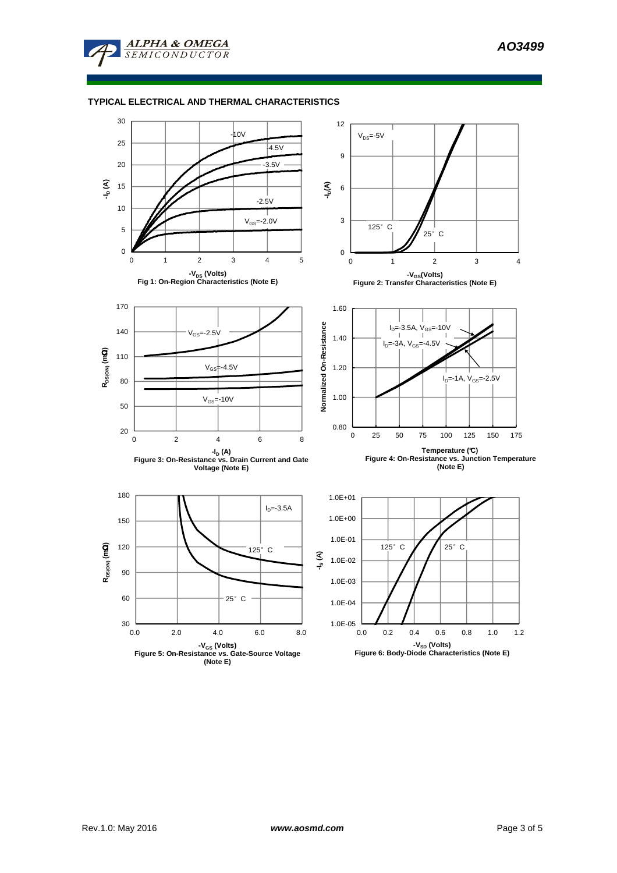

## **TYPICAL ELECTRICAL AND THERMAL CHARACTERISTICS**

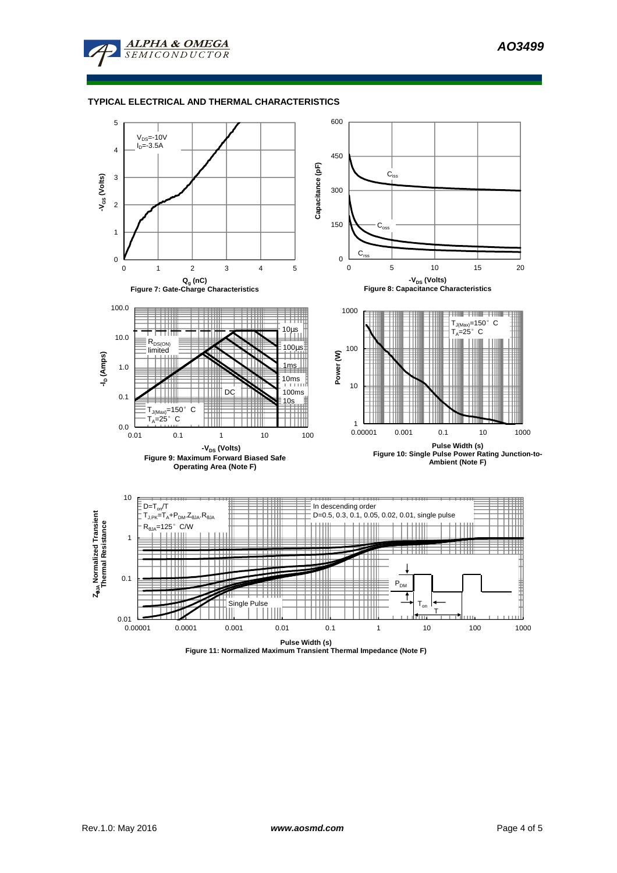

## **TYPICAL ELECTRICAL AND THERMAL CHARACTERISTICS**